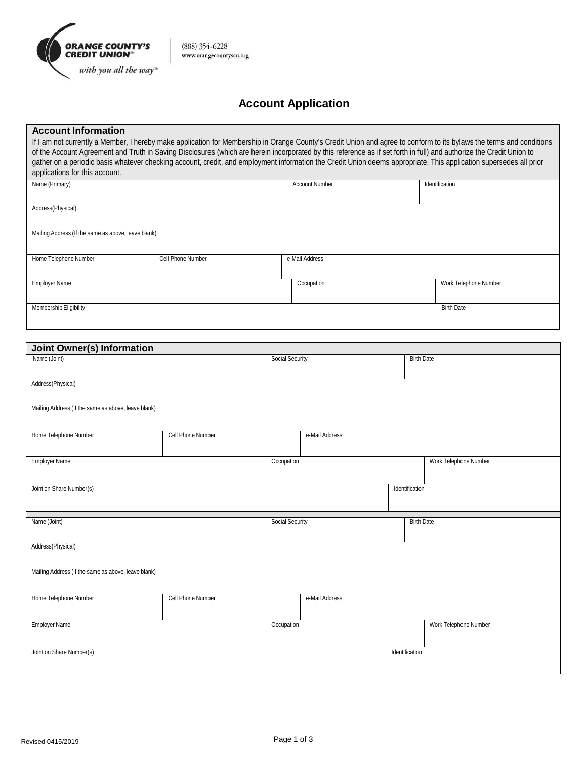

# **Account Application**

| <b>Account Information</b>                          |                   |                       |                                                                                                                                                                                                                                                                                                                                                                                                                                                                                                                    |
|-----------------------------------------------------|-------------------|-----------------------|--------------------------------------------------------------------------------------------------------------------------------------------------------------------------------------------------------------------------------------------------------------------------------------------------------------------------------------------------------------------------------------------------------------------------------------------------------------------------------------------------------------------|
| applications for this account.                      |                   |                       | If I am not currently a Member, I hereby make application for Membership in Orange County's Credit Union and agree to conform to its bylaws the terms and conditions<br>of the Account Agreement and Truth in Saving Disclosures (which are herein incorporated by this reference as if set forth in full) and authorize the Credit Union to<br>gather on a periodic basis whatever checking account, credit, and employment information the Credit Union deems appropriate. This application supersedes all prior |
| Name (Primary)                                      |                   | <b>Account Number</b> | Identification                                                                                                                                                                                                                                                                                                                                                                                                                                                                                                     |
| Address(Physical)                                   |                   |                       |                                                                                                                                                                                                                                                                                                                                                                                                                                                                                                                    |
| Mailing Address (If the same as above, leave blank) |                   |                       |                                                                                                                                                                                                                                                                                                                                                                                                                                                                                                                    |
| Home Telephone Number                               | Cell Phone Number | e-Mail Address        |                                                                                                                                                                                                                                                                                                                                                                                                                                                                                                                    |
| <b>Employer Name</b>                                |                   | Occupation            | Work Telephone Number                                                                                                                                                                                                                                                                                                                                                                                                                                                                                              |
| Membership Eligibility                              |                   |                       | <b>Birth Date</b>                                                                                                                                                                                                                                                                                                                                                                                                                                                                                                  |
|                                                     |                   |                       |                                                                                                                                                                                                                                                                                                                                                                                                                                                                                                                    |

| <b>Joint Owner(s) Information</b>                   |                   |                 |                |                   |                       |
|-----------------------------------------------------|-------------------|-----------------|----------------|-------------------|-----------------------|
| Name (Joint)                                        |                   | Social Security |                | <b>Birth Date</b> |                       |
|                                                     |                   |                 |                |                   |                       |
| Address(Physical)                                   |                   |                 |                |                   |                       |
|                                                     |                   |                 |                |                   |                       |
| Mailing Address (If the same as above, leave blank) |                   |                 |                |                   |                       |
| Home Telephone Number                               | Cell Phone Number |                 | e-Mail Address |                   |                       |
|                                                     |                   |                 |                |                   |                       |
| <b>Employer Name</b>                                |                   | Occupation      |                |                   | Work Telephone Number |
|                                                     |                   |                 |                |                   |                       |
| Joint on Share Number(s)                            |                   |                 |                | Identification    |                       |
|                                                     |                   |                 |                |                   |                       |
| Name (Joint)                                        |                   | Social Security |                | <b>Birth Date</b> |                       |
|                                                     |                   |                 |                |                   |                       |
| Address(Physical)                                   |                   |                 |                |                   |                       |
|                                                     |                   |                 |                |                   |                       |
| Mailing Address (If the same as above, leave blank) |                   |                 |                |                   |                       |
|                                                     |                   |                 |                |                   |                       |
| Home Telephone Number                               | Cell Phone Number |                 | e-Mail Address |                   |                       |
|                                                     |                   |                 |                |                   |                       |
| Employer Name                                       |                   | Occupation      |                |                   | Work Telephone Number |
|                                                     |                   |                 |                |                   |                       |
| Joint on Share Number(s)                            |                   |                 |                | Identification    |                       |
|                                                     |                   |                 |                |                   |                       |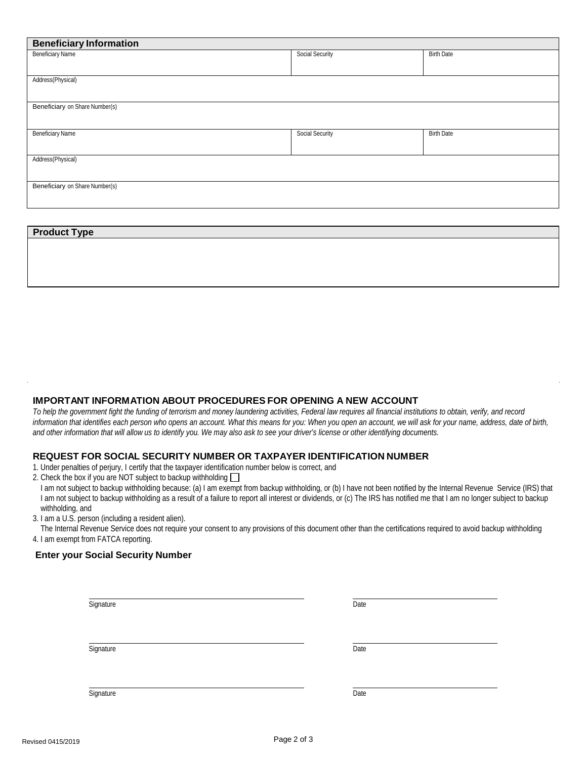| <b>Beneficiary Information</b> |                 |                   |  |
|--------------------------------|-----------------|-------------------|--|
| <b>Beneficiary Name</b>        | Social Security | <b>Birth Date</b> |  |
|                                |                 |                   |  |
| Address(Physical)              |                 |                   |  |
|                                |                 |                   |  |
| Beneficiary on Share Number(s) |                 |                   |  |
|                                |                 |                   |  |
| <b>Beneficiary Name</b>        | Social Security | <b>Birth Date</b> |  |
|                                |                 |                   |  |
| Address(Physical)              |                 |                   |  |
|                                |                 |                   |  |
| Beneficiary on Share Number(s) |                 |                   |  |
|                                |                 |                   |  |
|                                |                 |                   |  |

| <b>Product Type</b> |  |  |
|---------------------|--|--|
|                     |  |  |
|                     |  |  |
|                     |  |  |
|                     |  |  |

# **IMPORTANT INFORMATION ABOUT PROCEDURES FOR OPENING A NEW ACCOUNT**

*To help the government fight the funding of terrorism and money laundering activities, Federal law requires all financial institutions to obtain, verify, and record information that identifies each person who opens an account. What this means for you: When you open an account, we will ask for your name, address, date of birth, and other information that will allow us to identify you. We may also ask to see your driver's license or other identifying documents.*

### **REQUEST FOR SOCIAL SECURITY NUMBER OR TAXPAYER IDENTIFICATION NUMBER**

1. Under penalties of perjury, I certify that the taxpayer identification number below is correct, and

2. Check the box if you are NOT subject to backup withholding

I am not subject to backup withholding because: (a) I am exempt from backup withholding, or (b) I have not been notified by the Internal Revenue Service (IRS) that I am not subject to backup withholding as a result of a failure to report all interest or dividends, or (c) The IRS has notified me that I am no longer subject to backup withholding, and

3. I am a U.S. person (including a resident alien).

The Internal Revenue Service does not require your consent to any provisions of this document other than the certifications required to avoid backup withholding 4. I am exempt from FATCA reporting.

## **Enter your Social Security Number**

| Signature | Date |
|-----------|------|
| Signature | Date |
| Signature | Date |